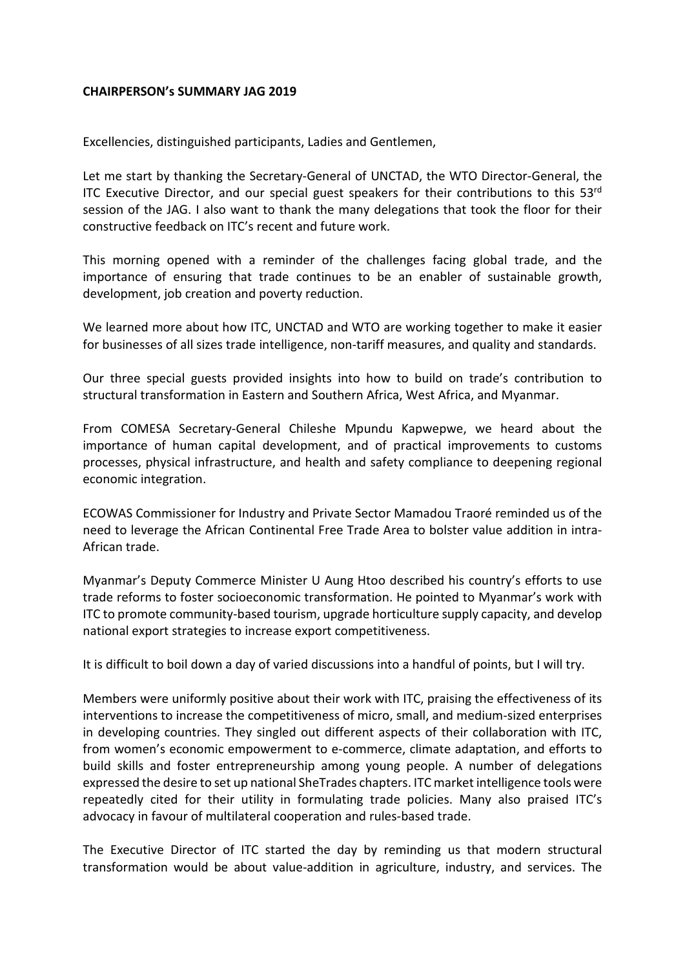## **CHAIRPERSON's SUMMARY JAG 2019**

Excellencies, distinguished participants, Ladies and Gentlemen,

Let me start by thanking the Secretary-General of UNCTAD, the WTO Director-General, the ITC Executive Director, and our special guest speakers for their contributions to this  $53<sup>rd</sup>$ session of the JAG. I also want to thank the many delegations that took the floor for their constructive feedback on ITC's recent and future work.

This morning opened with a reminder of the challenges facing global trade, and the importance of ensuring that trade continues to be an enabler of sustainable growth, development, job creation and poverty reduction.

We learned more about how ITC, UNCTAD and WTO are working together to make it easier for businesses of all sizes trade intelligence, non-tariff measures, and quality and standards.

Our three special guests provided insights into how to build on trade's contribution to structural transformation in Eastern and Southern Africa, West Africa, and Myanmar.

From COMESA Secretary-General Chileshe Mpundu Kapwepwe, we heard about the importance of human capital development, and of practical improvements to customs processes, physical infrastructure, and health and safety compliance to deepening regional economic integration.

ECOWAS Commissioner for Industry and Private Sector Mamadou Traoré reminded us of the need to leverage the African Continental Free Trade Area to bolster value addition in intra-African trade.

Myanmar's Deputy Commerce Minister U Aung Htoo described his country's efforts to use trade reforms to foster socioeconomic transformation. He pointed to Myanmar's work with ITC to promote community-based tourism, upgrade horticulture supply capacity, and develop national export strategies to increase export competitiveness.

It is difficult to boil down a day of varied discussions into a handful of points, but I will try.

Members were uniformly positive about their work with ITC, praising the effectiveness of its interventions to increase the competitiveness of micro, small, and medium-sized enterprises in developing countries. They singled out different aspects of their collaboration with ITC, from women's economic empowerment to e-commerce, climate adaptation, and efforts to build skills and foster entrepreneurship among young people. A number of delegations expressed the desire to set up national SheTrades chapters. ITC market intelligence tools were repeatedly cited for their utility in formulating trade policies. Many also praised ITC's advocacy in favour of multilateral cooperation and rules-based trade.

The Executive Director of ITC started the day by reminding us that modern structural transformation would be about value-addition in agriculture, industry, and services. The